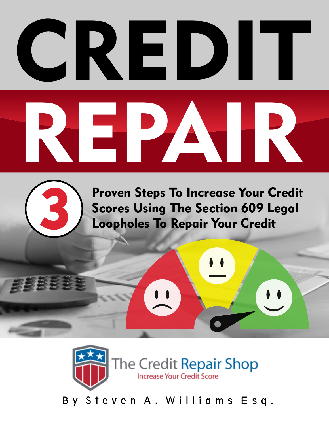

3

Proven Steps To Increase Your Credit Scores Using The Section 609 Legal Loopholes To Repair Your Credit



By Steven A. Williams Esq.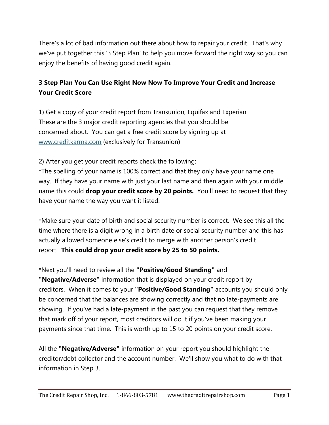There's a lot of bad information out there about how to repair your credit. That's why we've put together this '3 Step Plan' to help you move forward the right way so you can enjoy the benefits of having good credit again.

#### **3 Step Plan You Can Use Right Now Now To Improve Your Credit and Increase Your Credit Score**

1) Get a copy of your credit report from Transunion, Equifax and Experian. These are the 3 major credit reporting agencies that you should be concerned about. You can get a free credit score by signing up at www.creditkarma.com (exclusively for Transunion)

2) After you get your credit reports check the following:

\*The spelling of your name is 100% correct and that they only have your name one way. If they have your name with just your last name and then again with your middle name this could **drop your credit score by 20 points.** You'll need to request that they have your name the way you want it listed.

\*Make sure your date of birth and social security number is correct. We see this all the time where there is a digit wrong in a birth date or social security number and this has actually allowed someone else's credit to merge with another person's credit report. **This could drop your credit score by 25 to 50 points.**

\*Next you'll need to review all the **"Positive/Good Standing"** and **"Negative/Adverse"** information that is displayed on your credit report by creditors. When it comes to your **"Positive/Good Standing"** accounts you should only be concerned that the balances are showing correctly and that no late-payments are showing. If you've had a late-payment in the past you can request that they remove that mark off of your report, most creditors will do it if you've been making your payments since that time. This is worth up to 15 to 20 points on your credit score.

All the **"Negative/Adverse"** information on your report you should highlight the creditor/debt collector and the account number. We'll show you what to do with that information in Step 3.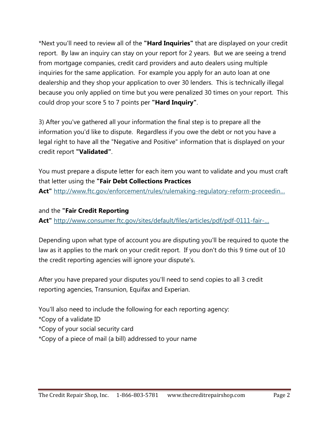\*Next you'll need to review all of the **"Hard Inquiries"** that are displayed on your credit report. By law an inquiry can stay on your report for 2 years. But we are seeing a trend from mortgage companies, credit card providers and auto dealers using multiple inquiries for the same application. For example you apply for an auto loan at one dealership and they shop your application to over 30 lenders. This is technically illegal because you only applied on time but you were penalized 30 times on your report. This could drop your score 5 to 7 points per **"Hard Inquiry"**.

3) After you've gathered all your information the final step is to prepare all the information you'd like to dispute. Regardless if you owe the debt or not you have a legal right to have all the "Negative and Positive" information that is displayed on your credit report **"Validated"**.

You must prepare a dispute letter for each item you want to validate and you must craft that letter using the **"Fair Debt Collections Practices** 

Act" http://www.ftc.gov/enforcement/rules/rulemaking-regulatory-reform-proceedin...

and the **"Fair Credit Reporting** 

**Act"** http://www.consumer.ftc.gov/sites/default/files/articles/pdf/pdf-0111-fair-…

Depending upon what type of account you are disputing you'll be required to quote the law as it applies to the mark on your credit report. If you don't do this 9 time out of 10 the credit reporting agencies will ignore your dispute's.

After you have prepared your disputes you'll need to send copies to all 3 credit reporting agencies, Transunion, Equifax and Experian.

You'll also need to include the following for each reporting agency:

\*Copy of a validate ID

- \*Copy of your social security card
- \*Copy of a piece of mail (a bill) addressed to your name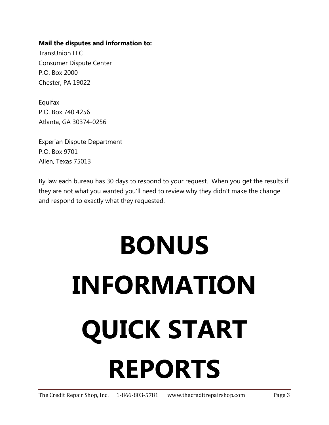#### **Mail the disputes and information to:**

TransUnion LLC Consumer Dispute Center P.O. Box 2000 Chester, PA 19022

Equifax P.O. Box 740 4256 Atlanta, GA 30374-0256

Experian Dispute Department P.O. Box 9701 Allen, Texas 75013

By law each bureau has 30 days to respond to your request. When you get the results if they are not what you wanted you'll need to review why they didn't make the change and respond to exactly what they requested.

# **BONUS INFORMATION QUICK START REPORTS**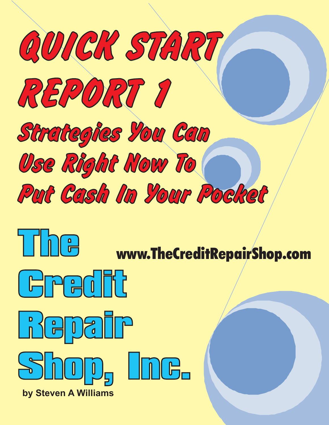







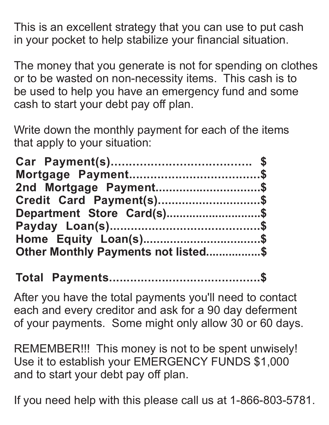This is an excellent strategy that you can use to put cash in your pocket to help stabilize your financial situation.

The money that you generate is not for spending on clothes or to be wasted on non-necessity items. This cash is to be used to help you have an emergency fund and some cash to start your debt pay off plan.

Write down the monthly payment for each of the items that apply to your situation:

| 2nd Mortgage Payment\$              |  |
|-------------------------------------|--|
| Credit Card Payment(s)\$            |  |
| Department Store Card(s)\$          |  |
|                                     |  |
|                                     |  |
| Other Monthly Payments not listed\$ |  |

**Total Payments...........................................\$**

After you have the total payments you'll need to contact each and every creditor and ask for a 90 day deferment of your payments. Some might only allow 30 or 60 days.

REMEMBER!!! This money is not to be spent unwisely! Use it to establish your EMERGENCY FUNDS \$1,000 and to start your debt pay off plan.

If you need help with this please call us at 1-866-803-5781.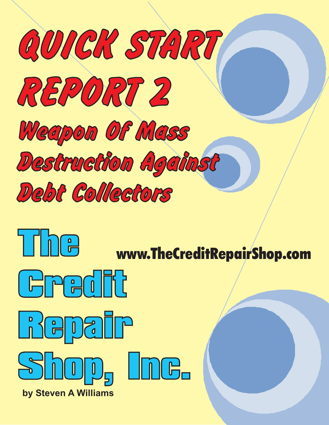







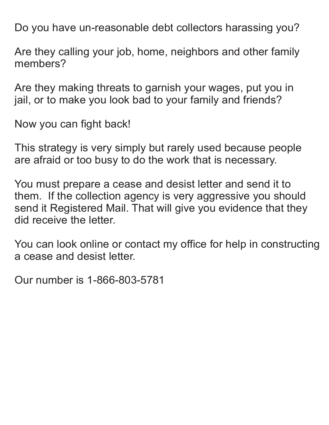Do you have un-reasonable debt collectors harassing you?

Are they calling your job, home, neighbors and other family members?

Are they making threats to garnish your wages, put you in jail, or to make you look bad to your family and friends?

Now you can fight back!

This strategy is very simply but rarely used because people are afraid or too busy to do the work that is necessary.

You must prepare a cease and desist letter and send it to them. If the collection agency is very aggressive you should send it Registered Mail. That will give you evidence that they did receive the letter.

You can look online or contact my office for help in constructing a cease and desist letter.

Our number is 1-866-803-5781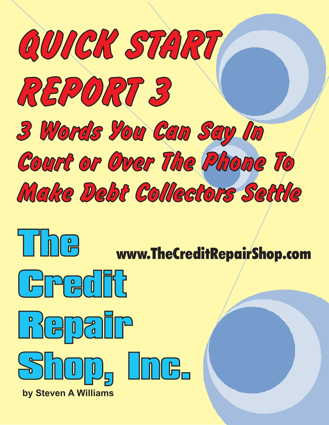







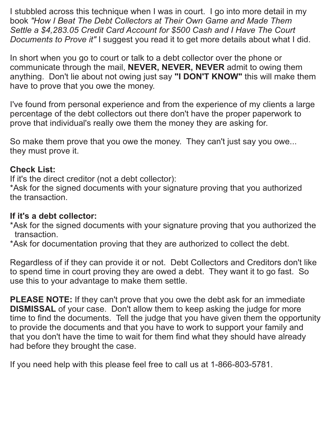I stubbled across this technique when I was in court. I go into more detail in my book *"How I Beat The Debt Collectors at Their Own Game and Made Them Settle a \$4,283.05 Credit Card Account for \$500 Cash and I Have The Court Documents to Prove it"* I suggest you read it to get more details about what I did.

In short when you go to court or talk to a debt collector over the phone or communicate through the mail, **NEVER, NEVER, NEVER** admit to owing them anything. Don't lie about not owing just say **"I DON'T KNOW"** this will make them have to prove that you owe the money.

I've found from personal experience and from the experience of my clients a large percentage of the debt collectors out there don't have the proper paperwork to prove that individual's really owe them the money they are asking for.

So make them prove that you owe the money. They can't just say you owe... they must prove it.

#### **Check List:**

If it's the direct creditor (not a debt collector):

\*Ask for the signed documents with your signature proving that you authorized the transaction.

#### **If it's a debt collector:**

- \*Ask for the signed documents with your signature proving that you authorized the transaction.
- \*Ask for documentation proving that they are authorized to collect the debt.

Regardless of if they can provide it or not. Debt Collectors and Creditors don't like to spend time in court proving they are owed a debt. They want it to go fast. So use this to your advantage to make them settle.

**PLEASE NOTE:** If they can't prove that you owe the debt ask for an immediate **DISMISSAL** of your case. Don't allow them to keep asking the judge for more time to find the documents. Tell the judge that you have given them the opportunity to provide the documents and that you have to work to support your family and that you don't have the time to wait for them find what they should have already had before they brought the case.

If you need help with this please feel free to call us at 1-866-803-5781.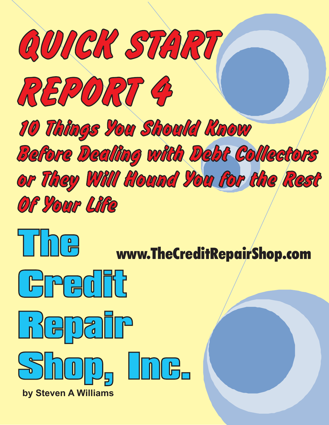







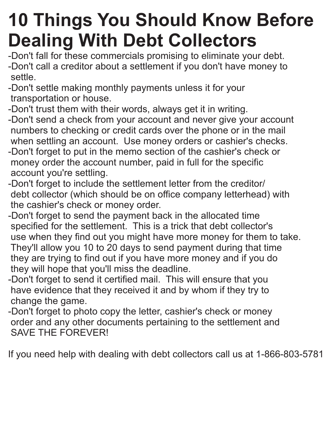## **10 Things You Should Know Before Dealing With Debt Collectors**

- -Don't fall for these commercials promising to eliminate your debt. -Don't call a creditor about a settlement if you don't have money to settle.
- -Don't settle making monthly payments unless it for your transportation or house.
- -Don't trust them with their words, always get it in writing.
- -Don't send a check from your account and never give your account numbers to checking or credit cards over the phone or in the mail when settling an account. Use money orders or cashier's checks.
- -Don't forget to put in the memo section of the cashier's check or money order the account number, paid in full for the specific account you're settling.
- -Don't forget to include the settlement letter from the creditor/ debt collector (which should be on office company letterhead) with the cashier's check or money order.
- -Don't forget to send the payment back in the allocated time specified for the settlement. This is a trick that debt collector's use when they find out you might have more money for them to take. They'll allow you 10 to 20 days to send payment during that time they are trying to find out if you have more money and if you do they will hope that you'll miss the deadline.
- -Don't forget to send it certified mail. This will ensure that you have evidence that they received it and by whom if they try to change the game.
- -Don't forget to photo copy the letter, cashier's check or money order and any other documents pertaining to the settlement and SAVE THE FOREVER!

If you need help with dealing with debt collectors call us at 1-866-803-5781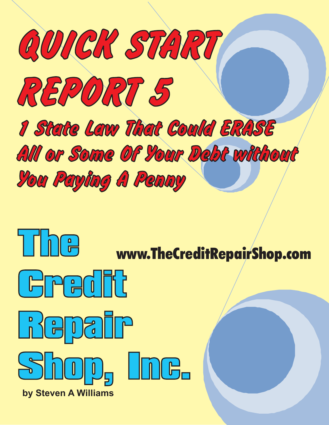